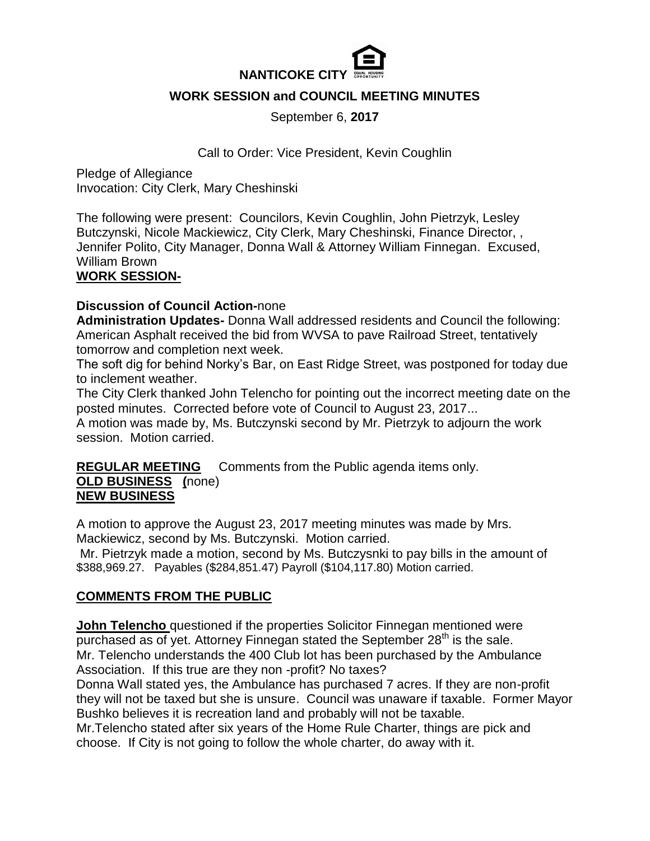

## **WORK SESSION and COUNCIL MEETING MINUTES**

September 6, **2017**

Call to Order: Vice President, Kevin Coughlin

Pledge of Allegiance Invocation: City Clerk, Mary Cheshinski

The following were present: Councilors, Kevin Coughlin, John Pietrzyk, Lesley Butczynski, Nicole Mackiewicz, City Clerk, Mary Cheshinski, Finance Director, , Jennifer Polito, City Manager, Donna Wall & Attorney William Finnegan. Excused, William Brown

### **WORK SESSION-**

### **Discussion of Council Action-**none

**Administration Updates-** Donna Wall addressed residents and Council the following: American Asphalt received the bid from WVSA to pave Railroad Street, tentatively tomorrow and completion next week.

The soft dig for behind Norky's Bar, on East Ridge Street, was postponed for today due to inclement weather.

The City Clerk thanked John Telencho for pointing out the incorrect meeting date on the posted minutes. Corrected before vote of Council to August 23, 2017...

A motion was made by, Ms. Butczynski second by Mr. Pietrzyk to adjourn the work session. Motion carried.

**REGULAR MEETING** Comments from the Public agenda items only. **OLD BUSINESS (**none)

# **NEW BUSINESS**

A motion to approve the August 23, 2017 meeting minutes was made by Mrs. Mackiewicz, second by Ms. Butczynski. Motion carried.

Mr. Pietrzyk made a motion, second by Ms. Butczysnki to pay bills in the amount of \$388,969.27. Payables (\$284,851.47) Payroll (\$104,117.80) Motion carried.

## **COMMENTS FROM THE PUBLIC**

**John Telencho** questioned if the properties Solicitor Finnegan mentioned were purchased as of yet. Attorney Finnegan stated the September  $28<sup>th</sup>$  is the sale. Mr. Telencho understands the 400 Club lot has been purchased by the Ambulance Association. If this true are they non -profit? No taxes?

Donna Wall stated yes, the Ambulance has purchased 7 acres. If they are non-profit they will not be taxed but she is unsure. Council was unaware if taxable. Former Mayor Bushko believes it is recreation land and probably will not be taxable.

Mr.Telencho stated after six years of the Home Rule Charter, things are pick and choose. If City is not going to follow the whole charter, do away with it.